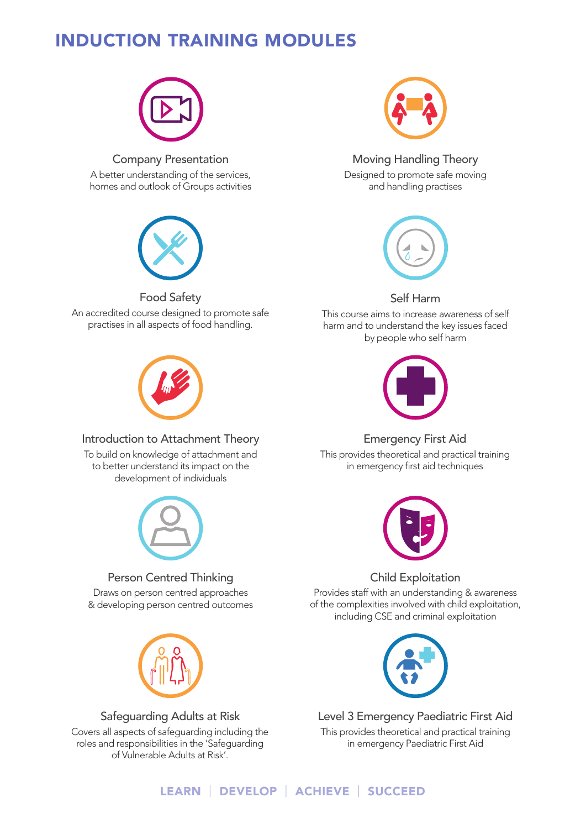# INDUCTION TRAINING MODULES



Company Presentation A better understanding of the services, homes and outlook of Groups activities



#### Food Safety

An accredited course designed to promote safe practises in all aspects of food handling.



#### Introduction to Attachment Theory

To build on knowledge of attachment and to better understand its impact on the development of individuals



Person Centred Thinking

Draws on person centred approaches & developing person centred outcomes



Safeguarding Adults at Risk Covers all aspects of safeguarding including the roles and responsibilities in the 'Safeguarding of Vulnerable Adults at Risk'.



Moving Handling Theory Designed to promote safe moving and handling practises



Self Harm

This course aims to increase awareness of self harm and to understand the key issues faced by people who self harm



# Emergency First Aid

This provides theoretical and practical training in emergency first aid techniques



Child Exploitation

Provides staff with an understanding & awareness of the complexities involved with child exploitation, including CSE and criminal exploitation



Level 3 Emergency Paediatric First Aid This provides theoretical and practical training in emergency Paediatric First Aid